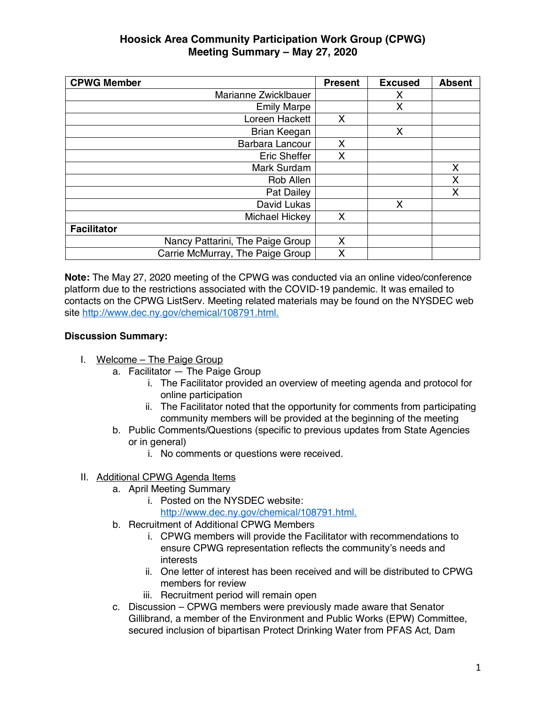## **Hoosick Area Community Participation Work Group (CPWG) Meeting Summary – May 27, 2020**

| <b>CPWG Member</b>               | <b>Present</b> | <b>Excused</b> | <b>Absent</b> |
|----------------------------------|----------------|----------------|---------------|
| Marianne Zwicklbauer             |                | x              |               |
| <b>Emily Marpe</b>               |                | X              |               |
| Loreen Hackett                   | X              |                |               |
| Brian Keegan                     |                | X              |               |
| Barbara Lancour                  | X              |                |               |
| <b>Eric Sheffer</b>              | X              |                |               |
| Mark Surdam                      |                |                | X             |
| Rob Allen                        |                |                | X             |
| Pat Dailey                       |                |                | X             |
| David Lukas                      |                | X              |               |
| Michael Hickey                   | X              |                |               |
| <b>Facilitator</b>               |                |                |               |
| Nancy Pattarini, The Paige Group | X              |                |               |
| Carrie McMurray, The Paige Group | Χ              |                |               |

**Note:** The May 27, 2020 meeting of the CPWG was conducted via an online video/conference platform due to the restrictions associated with the COVID-19 pandemic. It was emailed to contacts on the CPWG ListServ. Meeting related materials may be found on the NYSDEC web site http://www.dec.ny.gov/chemical/108791.html.

## **Discussion Summary:**

- I. Welcome The Paige Group
	- a. Facilitator The Paige Group
		- i. The Facilitator provided an overview of meeting agenda and protocol for online participation
		- ii. The Facilitator noted that the opportunity for comments from participating community members will be provided at the beginning of the meeting
	- b. Public Comments/Questions (specific to previous updates from State Agencies or in general)
		- i. No comments or questions were received.

## II. Additional CPWG Agenda Items

- a. April Meeting Summary
	- i. Posted on the NYSDEC website:
		- http://www.dec.ny.gov/chemical/108791.html.
- b. Recruitment of Additional CPWG Members
	- i. CPWG members will provide the Facilitator with recommendations to ensure CPWG representation reflects the community's needs and interests
	- ii. One letter of interest has been received and will be distributed to CPWG members for review
	- iii. Recruitment period will remain open
- c. Discussion CPWG members were previously made aware that Senator Gillibrand, a member of the Environment and Public Works (EPW) Committee, secured inclusion of bipartisan Protect Drinking Water from PFAS Act, Dam